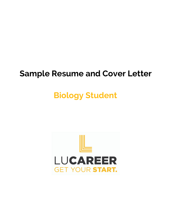## **Sample Resume and Cover Letter**

# **Biology Student**

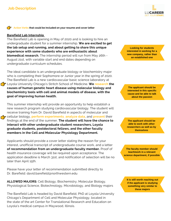

#### **Action Verbs that could be included on your resume and cover letter**

#### **Barefield Lab Internship**

The Barefield Lab is opening in May of 2020 and is looking to hire an undergraduate student for a summer internship. **We are excited to get the lab setup and running, and about getting to share this unique experience with some students who are enthusiastic about biomedical research.** The internship period will run from May 26th - August 21st, with variable start and end dates depending on undergraduate curriculum schedules.

The ideal candidate is an undergraduate biology or biochemistry major who is completing their Sophomore or Junior year in the spring of 2020. The Barefield Lab is a new cardiovascular basic science laboratory at Loyola University Chicago's Stritch School of Medicine. **We research the causes of human genetic heart disease using molecular biology and biochemistry tools with cell and animal models of disease, with the goal of improving human health.**

This summer internship will provide an opportunity to help establish a new research program studying cardiovascular biology. The student will receive training from Dr. David Barefield in aspects of molecular and cellular biology, **perform experiments**, **analyze data**, and **present** their findings at the end of the summer. **The student will have the chance to interact with other undergraduate student researchers, Loyola graduate students, postdoctoral fellows, and the other faculty members in the Cell and Molecular Physiology Department.**

Applicants should provide a cover letter stating the reason for your interest, unofficial transcript of undergraduate course work, and a letter **of recommendation from an undergraduate faculty member.** Proof of health insurance coverage will be required upon acceptance. The application deadline is March 31st, and notification of selection will be no later than April 15th.

Please have your letter of recommendation submitted directly to Dr. Barefield: david.barefield@northwestern.edu

**ALLOWED MAJORS:** Cell Biology, Biochemistry, Molecular Biology, Physiological Science, Biotechnology, Microbiology, and Biology majors

The Barefield Lab is headed by David Barefield, PhD at Loyola University Chicago's Department of Cell and Molecular Physiology, located in the state of the art Center for Translational Research and Education on Loyola's medical campus in Maywood, Illinois.

**Looking for students interested in working for a new company, rather than an established one**

**The applicant should be interested in this specific cause and be able to talk about the passion**

**The applicant should be able to work with other researchers as well as by themselves**

**The faculty member should teach/work in a relevant science department, if possible**

**It is still worth reaching out if the applicant is studying something very similar to these majors**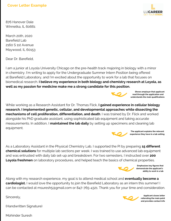

876 Hanover Dale Winnetka, IL 60661

March 20th, 2020 Barefield Lab 2160 S 1st Avenue Maywood, IL 60153

Dear Dr. Barefield,

I am a junior at Loyola University Chicago on the pre-health track majoring in biology with a minor in chemistry. I'm writing to apply for the Undergraduate Summer Intern Position being offered at Barefield Laboratory, and I'm excited about the opportunity to work for a lab that focuses on biomedical research. **I believe my experience in both biology and chemistry research at Loyola, as well as my passion for medicine make me a strong candidate for this position.**



**Shows employer that applicant read through the application and understands the main qualifications**

While working as a Research Assistant for Dr. Thomas Flick, **I gained experience in cellular biology research. I implemented genetic, cellular, and developmental approaches while dissecting the mechanisms of cell proliferation, differentiation, and death**. I was trained by Dr. Flick and worked alongside his PhD graduate assistant, using sophisticated lab equipment and taking accurate measurements. In addition, I **maintained the lab daily** by setting up specimens and cleaning lab equipment.



**The applicant explains the relevant experience they have in a lab setting**

As a Laboratory Assistant in the Physical Chemistry Lab, I supported the PI by preparing **15 different chemical solutions** for multiple lab sections per week. I was trained to use advanced lab equipment and was entrusted with daily lab set-up and breakdown. For two semesters, I instructed over **200 Loyola freshmen** on laboratory procedures, and helped teach the basics of chemical properties.



**Emphasizes key figures that demonstrate the applicant's ability to work in a lab**

Along with my research experience, my goal is to attend medical school and **eventually become a cardiologist.** I would love the opportunity to join the Barefield Laboratory as an intern this summer! I can be contacted at msuresh5@gmail.com or 847-765-4321. Thank you for your time and consideration.

Sincerely,

(Handwritten Signature)



**Applicant closes letter reiterating the main point and provides contact info**

Mohinder Suresh